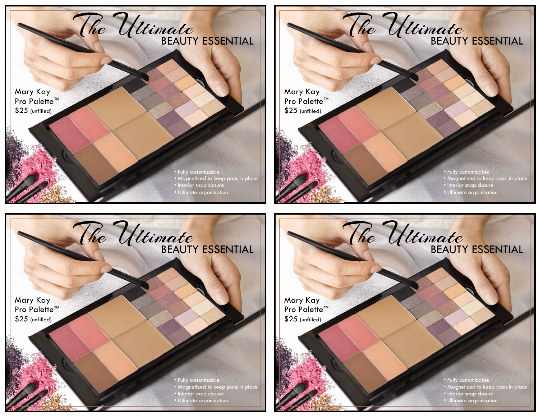